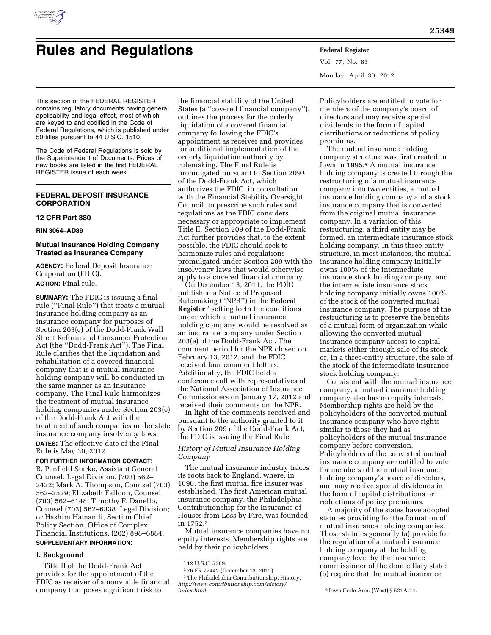

# **Rules and Regulations Federal Register**

Vol. 77, No. 83 Monday, April 30, 2012

This section of the FEDERAL REGISTER contains regulatory documents having general applicability and legal effect, most of which are keyed to and codified in the Code of Federal Regulations, which is published under 50 titles pursuant to 44 U.S.C. 1510.

The Code of Federal Regulations is sold by the Superintendent of Documents. Prices of new books are listed in the first FEDERAL REGISTER issue of each week.

## **FEDERAL DEPOSIT INSURANCE CORPORATION**

## **12 CFR Part 380**

#### **RIN 3064–AD89**

## **Mutual Insurance Holding Company Treated as Insurance Company**

**AGENCY:** Federal Deposit Insurance Corporation (FDIC). **ACTION:** Final rule.

**SUMMARY:** The FDIC is issuing a final rule (''Final Rule'') that treats a mutual insurance holding company as an insurance company for purposes of Section 203(e) of the Dodd-Frank Wall Street Reform and Consumer Protection Act (the ''Dodd-Frank Act''). The Final Rule clarifies that the liquidation and rehabilitation of a covered financial company that is a mutual insurance holding company will be conducted in the same manner as an insurance company. The Final Rule harmonizes the treatment of mutual insurance holding companies under Section 203(e) of the Dodd-Frank Act with the treatment of such companies under state insurance company insolvency laws.

**DATES:** The effective date of the Final Rule is May 30, 2012.

#### **FOR FURTHER INFORMATION CONTACT:**

R. Penfield Starke, Assistant General Counsel, Legal Division, (703) 562– 2422; Mark A. Thompson, Counsel (703) 562–2529; Elizabeth Falloon, Counsel (703) 562–6148; Timothy F. Danello, Counsel (703) 562–6338, Legal Division; or Hashim Hamandi, Section Chief Policy Section, Office of Complex Financial Institutions, (202) 898–6884.

# **SUPPLEMENTARY INFORMATION:**

## **I. Background**

Title II of the Dodd-Frank Act provides for the appointment of the FDIC as receiver of a nonviable financial company that poses significant risk to

the financial stability of the United States (a ''covered financial company''), outlines the process for the orderly liquidation of a covered financial company following the FDIC's appointment as receiver and provides for additional implementation of the orderly liquidation authority by rulemaking. The Final Rule is promulgated pursuant to Section 209 1 of the Dodd-Frank Act, which authorizes the FDIC, in consultation with the Financial Stability Oversight Council, to prescribe such rules and regulations as the FDIC considers necessary or appropriate to implement Title II. Section 209 of the Dodd-Frank Act further provides that, to the extent possible, the FDIC should seek to harmonize rules and regulations promulgated under Section 209 with the insolvency laws that would otherwise apply to a covered financial company.

On December 13, 2011, the FDIC published a Notice of Proposed Rulemaking (''NPR'') in the **Federal Register** 2 setting forth the conditions under which a mutual insurance holding company would be resolved as an insurance company under Section 203(e) of the Dodd-Frank Act. The comment period for the NPR closed on February 13, 2012, and the FDIC received four comment letters. Additionally, the FDIC held a conference call with representatives of the National Association of Insurance Commissioners on January 17, 2012 and received their comments on the NPR.

In light of the comments received and pursuant to the authority granted to it by Section 209 of the Dodd-Frank Act, the FDIC is issuing the Final Rule.

## *History of Mutual Insurance Holding Company*

The mutual insurance industry traces its roots back to England, where, in 1696, the first mutual fire insurer was established. The first American mutual insurance company, the Philadelphia Contributionship for the Insurance of Houses from Loss by Fire, was founded in 1752.3

Mutual insurance companies have no equity interests. Membership rights are held by their policyholders.

2 76 FR 77442 (December 13, 2011). <sup>3</sup>The Philadelphia Contributionship, History, *[http://www.contributionship.com/history/](http://www.contributionship.com/history/index.html)* 

Policyholders are entitled to vote for members of the company's board of directors and may receive special dividends in the form of capital distributions or reductions of policy premiums.

The mutual insurance holding company structure was first created in Iowa in 1995.4 A mutual insurance holding company is created through the restructuring of a mutual insurance company into two entities, a mutual insurance holding company and a stock insurance company that is converted from the original mutual insurance company. In a variation of this restructuring, a third entity may be formed, an intermediate insurance stock holding company. In this three-entity structure, in most instances, the mutual insurance holding company initially owns 100% of the intermediate insurance stock holding company, and the intermediate insurance stock holding company initially owns 100% of the stock of the converted mutual insurance company. The purpose of the restructuring is to preserve the benefits of a mutual form of organization while allowing the converted mutual insurance company access to capital markets either through sale of its stock or, in a three-entity structure, the sale of the stock of the intermediate insurance stock holding company.

Consistent with the mutual insurance company, a mutual insurance holding company also has no equity interests. Membership rights are held by the policyholders of the converted mutual insurance company who have rights similar to those they had as policyholders of the mutual insurance company before conversion. Policyholders of the converted mutual insurance company are entitled to vote for members of the mutual insurance holding company's board of directors, and may receive special dividends in the form of capital distributions or reductions of policy premiums.

A majority of the states have adopted statutes providing for the formation of mutual insurance holding companies. Those statutes generally (a) provide for the regulation of a mutual insurance holding company at the holding company level by the insurance commissioner of the domiciliary state; (b) require that the mutual insurance

<sup>1</sup> 12 U.S.C. 5389.

*[index.html.](http://www.contributionship.com/history/index.html)* 4 Iowa Code Ann. (West) § 521A.14.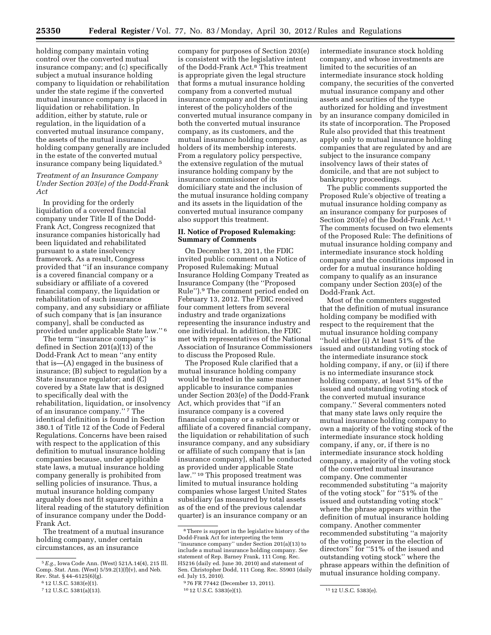**25350 Federal Register** / Vol. 77, No. 83 / Monday, April 30, 2012 / Rules and Regulations

holding company maintain voting control over the converted mutual insurance company; and (c) specifically subject a mutual insurance holding company to liquidation or rehabilitation under the state regime if the converted mutual insurance company is placed in liquidation or rehabilitation. In addition, either by statute, rule or regulation, in the liquidation of a converted mutual insurance company, the assets of the mutual insurance holding company generally are included in the estate of the converted mutual insurance company being liquidated.5

## *Treatment of an Insurance Company Under Section 203(e) of the Dodd-Frank Act*

In providing for the orderly liquidation of a covered financial company under Title II of the Dodd-Frank Act, Congress recognized that insurance companies historically had been liquidated and rehabilitated pursuant to a state insolvency framework. As a result, Congress provided that ''if an insurance company is a covered financial company or a subsidiary or affiliate of a covered financial company, the liquidation or rehabilitation of such insurance company, and any subsidiary or affiliate of such company that is [an insurance company], shall be conducted as provided under applicable State law.'' 6

The term "insurance company" is defined in Section 201(a)(13) of the Dodd-Frank Act to mean ''any entity that is—(A) engaged in the business of insurance; (B) subject to regulation by a State insurance regulator; and (C) covered by a State law that is designed to specifically deal with the rehabilitation, liquidation, or insolvency of an insurance company.'' 7 The identical definition is found in Section 380.1 of Title 12 of the Code of Federal Regulations. Concerns have been raised with respect to the application of this definition to mutual insurance holding companies because, under applicable state laws, a mutual insurance holding company generally is prohibited from selling policies of insurance. Thus, a mutual insurance holding company arguably does not fit squarely within a literal reading of the statutory definition of insurance company under the Dodd-Frank Act.

The treatment of a mutual insurance holding company, under certain circumstances, as an insurance

company for purposes of Section 203(e) is consistent with the legislative intent of the Dodd-Frank Act.8 This treatment is appropriate given the legal structure that forms a mutual insurance holding company from a converted mutual insurance company and the continuing interest of the policyholders of the converted mutual insurance company in both the converted mutual insurance company, as its customers, and the mutual insurance holding company, as holders of its membership interests. From a regulatory policy perspective, the extensive regulation of the mutual insurance holding company by the insurance commissioner of its domiciliary state and the inclusion of the mutual insurance holding company and its assets in the liquidation of the converted mutual insurance company also support this treatment.

## **II. Notice of Proposed Rulemaking: Summary of Comments**

On December 13, 2011, the FDIC invited public comment on a Notice of Proposed Rulemaking: Mutual Insurance Holding Company Treated as Insurance Company (the ''Proposed Rule'').9 The comment period ended on February 13, 2012. The FDIC received four comment letters from several industry and trade organizations representing the insurance industry and one individual. In addition, the FDIC met with representatives of the National Association of Insurance Commissioners to discuss the Proposed Rule.

The Proposed Rule clarified that a mutual insurance holding company would be treated in the same manner applicable to insurance companies under Section 203(e) of the Dodd-Frank Act, which provides that ''if an insurance company is a covered financial company or a subsidiary or affiliate of a covered financial company, the liquidation or rehabilitation of such insurance company, and any subsidiary or affiliate of such company that is [an insurance company], shall be conducted as provided under applicable State law.'' 10 This proposed treatment was limited to mutual insurance holding companies whose largest United States subsidiary (as measured by total assets as of the end of the previous calendar quarter) is an insurance company or an

intermediate insurance stock holding company, and whose investments are limited to the securities of an intermediate insurance stock holding company, the securities of the converted mutual insurance company and other assets and securities of the type authorized for holding and investment by an insurance company domiciled in its state of incorporation. The Proposed Rule also provided that this treatment apply only to mutual insurance holding companies that are regulated by and are subject to the insurance company insolvency laws of their states of domicile, and that are not subject to bankruptcy proceedings.

The public comments supported the Proposed Rule's objective of treating a mutual insurance holding company as an insurance company for purposes of Section 203(e) of the Dodd-Frank Act.11 The comments focused on two elements of the Proposed Rule: The definitions of mutual insurance holding company and intermediate insurance stock holding company and the conditions imposed in order for a mutual insurance holding company to qualify as an insurance company under Section 203(e) of the Dodd-Frank Act.

Most of the commenters suggested that the definition of mutual insurance holding company be modified with respect to the requirement that the mutual insurance holding company ''hold either (i) At least 51% of the issued and outstanding voting stock of the intermediate insurance stock holding company, if any, or (ii) if there is no intermediate insurance stock holding company, at least 51% of the issued and outstanding voting stock of the converted mutual insurance company.'' Several commenters noted that many state laws only require the mutual insurance holding company to own a majority of the voting stock of the intermediate insurance stock holding company, if any, or, if there is no intermediate insurance stock holding company, a majority of the voting stock of the converted mutual insurance company. One commenter recommended substituting ''a majority of the voting stock'' for ''51% of the issued and outstanding voting stock'' where the phrase appears within the definition of mutual insurance holding company. Another commenter recommended substituting ''a majority of the voting power in the election of directors'' for ''51% of the issued and outstanding voting stock'' where the phrase appears within the definition of mutual insurance holding company.

<sup>5</sup>*E.g.,* Iowa Code Ann. (West) 521A.14(4), 215 Ill. Comp. Stat. Ann. (West) 5/59.2(1)(f)(v), and Neb. Rev. Stat. § 44–6125(6)(g).

<sup>6</sup> 12 U.S.C. 5383(e)(1).

<sup>7</sup> 12 U.S.C. 5381(a)(13).

<sup>8</sup>There is support in the legislative history of the Dodd-Frank Act for interpreting the term ''insurance company'' under Section 201(a)(13) to include a mutual insurance holding company. *See*  statement of Rep. Barney Frank, 111 Cong. Rec. H5216 (daily ed. June 30, 2010) and statement of Sen. Christopher Dodd, 111 Cong. Rec. S5903 (daily ed. July 15, 2010).

<sup>9</sup> 76 FR 77442 (December 13, 2011).

<sup>10 12</sup> U.S.C. 5383(e)(1). 11 12 U.S.C. 5383(e).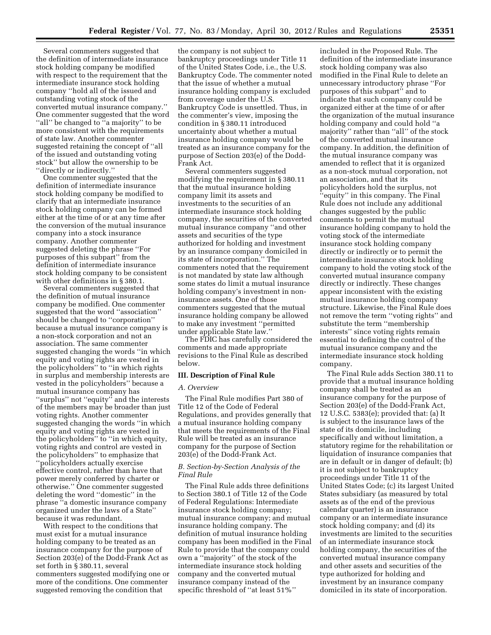Several commenters suggested that the definition of intermediate insurance stock holding company be modified with respect to the requirement that the intermediate insurance stock holding company ''hold all of the issued and outstanding voting stock of the converted mutual insurance company.'' One commenter suggested that the word "all" be changed to "a majority" to be more consistent with the requirements of state law. Another commenter suggested retaining the concept of ''all of the issued and outstanding voting stock'' but allow the ownership to be ''directly or indirectly.''

One commenter suggested that the definition of intermediate insurance stock holding company be modified to clarify that an intermediate insurance stock holding company can be formed either at the time of or at any time after the conversion of the mutual insurance company into a stock insurance company. Another commenter suggested deleting the phrase ''For purposes of this subpart'' from the definition of intermediate insurance stock holding company to be consistent with other definitions in § 380.1.

Several commenters suggested that the definition of mutual insurance company be modified. One commenter suggested that the word ''association'' should be changed to ''corporation'' because a mutual insurance company is a non-stock corporation and not an association. The same commenter suggested changing the words ''in which equity and voting rights are vested in the policyholders'' to ''in which rights in surplus and membership interests are vested in the policyholders'' because a mutual insurance company has ''surplus'' not ''equity'' and the interests of the members may be broader than just voting rights. Another commenter suggested changing the words ''in which equity and voting rights are vested in the policyholders'' to ''in which equity, voting rights and control are vested in the policyholders'' to emphasize that ''policyholders actually exercise effective control, rather than have that power merely conferred by charter or otherwise.'' One commenter suggested deleting the word ''domestic'' in the phrase ''a domestic insurance company organized under the laws of a State'' because it was redundant.

With respect to the conditions that must exist for a mutual insurance holding company to be treated as an insurance company for the purpose of Section 203(e) of the Dodd-Frank Act as set forth in § 380.11, several commenters suggested modifying one or more of the conditions. One commenter suggested removing the condition that

the company is not subject to bankruptcy proceedings under Title 11 of the United States Code, i.e., the U.S. Bankruptcy Code. The commenter noted that the issue of whether a mutual insurance holding company is excluded from coverage under the U.S. Bankruptcy Code is unsettled. Thus, in the commenter's view, imposing the condition in § 380.11 introduced uncertainty about whether a mutual insurance holding company would be treated as an insurance company for the purpose of Section 203(e) of the Dodd-Frank Act.

Several commenters suggested modifying the requirement in § 380.11 that the mutual insurance holding company limit its assets and investments to the securities of an intermediate insurance stock holding company, the securities of the converted mutual insurance company ''and other assets and securities of the type authorized for holding and investment by an insurance company domiciled in its state of incorporation.'' The commenters noted that the requirement is not mandated by state law although some states do limit a mutual insurance holding company's investment in noninsurance assets. One of those commenters suggested that the mutual insurance holding company be allowed to make any investment ''permitted under applicable State law.''

The FDIC has carefully considered the comments and made appropriate revisions to the Final Rule as described below.

#### **III. Description of Final Rule**

#### *A. Overview*

The Final Rule modifies Part 380 of Title 12 of the Code of Federal Regulations, and provides generally that a mutual insurance holding company that meets the requirements of the Final Rule will be treated as an insurance company for the purpose of Section 203(e) of the Dodd-Frank Act.

#### *B. Section-by-Section Analysis of the Final Rule*

The Final Rule adds three definitions to Section 380.1 of Title 12 of the Code of Federal Regulations: Intermediate insurance stock holding company; mutual insurance company; and mutual insurance holding company. The definition of mutual insurance holding company has been modified in the Final Rule to provide that the company could own a ''majority'' of the stock of the intermediate insurance stock holding company and the converted mutual insurance company instead of the specific threshold of ''at least 51%''

included in the Proposed Rule. The definition of the intermediate insurance stock holding company was also modified in the Final Rule to delete an unnecessary introductory phrase ''For purposes of this subpart'' and to indicate that such company could be organized either at the time of or after the organization of the mutual insurance holding company and could hold ''a majority'' rather than ''all'' of the stock of the converted mutual insurance company. In addition, the definition of the mutual insurance company was amended to reflect that it is organized as a non-stock mutual corporation, not an association, and that its policyholders hold the surplus, not ''equity'' in this company. The Final Rule does not include any additional changes suggested by the public comments to permit the mutual insurance holding company to hold the voting stock of the intermediate insurance stock holding company directly or indirectly or to permit the intermediate insurance stock holding company to hold the voting stock of the converted mutual insurance company directly or indirectly. These changes appear inconsistent with the existing mutual insurance holding company structure. Likewise, the Final Rule does not remove the term ''voting rights'' and substitute the term ''membership interests'' since voting rights remain essential to defining the control of the mutual insurance company and the intermediate insurance stock holding company.

The Final Rule adds Section 380.11 to provide that a mutual insurance holding company shall be treated as an insurance company for the purpose of Section 203(e) of the Dodd-Frank Act, 12 U.S.C. 5383(e); provided that: (a) It is subject to the insurance laws of the state of its domicile, including specifically and without limitation, a statutory regime for the rehabilitation or liquidation of insurance companies that are in default or in danger of default; (b) it is not subject to bankruptcy proceedings under Title 11 of the United States Code; (c) its largest United States subsidiary (as measured by total assets as of the end of the previous calendar quarter) is an insurance company or an intermediate insurance stock holding company; and (d) its investments are limited to the securities of an intermediate insurance stock holding company, the securities of the converted mutual insurance company and other assets and securities of the type authorized for holding and investment by an insurance company domiciled in its state of incorporation.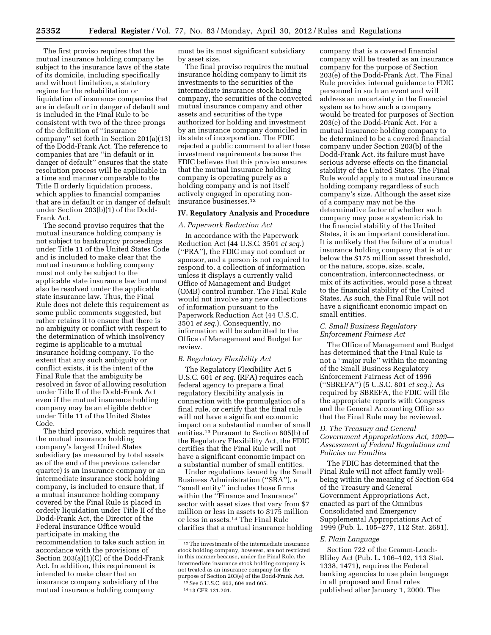The first proviso requires that the mutual insurance holding company be subject to the insurance laws of the state of its domicile, including specifically and without limitation, a statutory regime for the rehabilitation or liquidation of insurance companies that are in default or in danger of default and is included in the Final Rule to be consistent with two of the three prongs of the definition of ''insurance company'' set forth in Section 201(a)(13) of the Dodd-Frank Act. The reference to companies that are ''in default or in danger of default'' ensures that the state resolution process will be applicable in a time and manner comparable to the Title II orderly liquidation process, which applies to financial companies that are in default or in danger of default under Section 203(b)(1) of the Dodd-Frank Act.

The second proviso requires that the mutual insurance holding company is not subject to bankruptcy proceedings under Title 11 of the United States Code and is included to make clear that the mutual insurance holding company must not only be subject to the applicable state insurance law but must also be resolved under the applicable state insurance law. Thus, the Final Rule does not delete this requirement as some public comments suggested, but rather retains it to ensure that there is no ambiguity or conflict with respect to the determination of which insolvency regime is applicable to a mutual insurance holding company. To the extent that any such ambiguity or conflict exists, it is the intent of the Final Rule that the ambiguity be resolved in favor of allowing resolution under Title II of the Dodd-Frank Act even if the mutual insurance holding company may be an eligible debtor under Title 11 of the United States Code.

The third proviso, which requires that the mutual insurance holding company's largest United States subsidiary (as measured by total assets as of the end of the previous calendar quarter) is an insurance company or an intermediate insurance stock holding company, is included to ensure that, if a mutual insurance holding company covered by the Final Rule is placed in orderly liquidation under Title II of the Dodd-Frank Act, the Director of the Federal Insurance Office would participate in making the recommendation to take such action in accordance with the provisions of Section 203(a)(1)(C) of the Dodd-Frank Act. In addition, this requirement is intended to make clear that an insurance company subsidiary of the mutual insurance holding company

must be its most significant subsidiary by asset size.

The final proviso requires the mutual insurance holding company to limit its investments to the securities of the intermediate insurance stock holding company, the securities of the converted mutual insurance company and other assets and securities of the type authorized for holding and investment by an insurance company domiciled in its state of incorporation. The FDIC rejected a public comment to alter these investment requirements because the FDIC believes that this proviso ensures that the mutual insurance holding company is operating purely as a holding company and is not itself actively engaged in operating noninsurance businesses.12

#### **IV. Regulatory Analysis and Procedure**

#### *A. Paperwork Reduction Act*

In accordance with the Paperwork Reduction Act (44 U.S.C. 3501 *et seq.*) (''PRA''), the FDIC may not conduct or sponsor, and a person is not required to respond to, a collection of information unless it displays a currently valid Office of Management and Budget (OMB) control number. The Final Rule would not involve any new collections of information pursuant to the Paperwork Reduction Act (44 U.S.C. 3501 *et seq.*). Consequently, no information will be submitted to the Office of Management and Budget for review.

#### *B. Regulatory Flexibility Act*

The Regulatory Flexibility Act 5 U.S.C. 601 *et seq.* (RFA) requires each federal agency to prepare a final regulatory flexibility analysis in connection with the promulgation of a final rule, or certify that the final rule will not have a significant economic impact on a substantial number of small entities.13 Pursuant to Section 605(b) of the Regulatory Flexibility Act, the FDIC certifies that the Final Rule will not have a significant economic impact on a substantial number of small entities.

Under regulations issued by the Small Business Administration (''SBA''), a ''small entity'' includes those firms within the ''Finance and Insurance'' sector with asset sizes that vary from \$7 million or less in assets to \$175 million or less in assets.14 The Final Rule clarifies that a mutual insurance holding company that is a covered financial company will be treated as an insurance company for the purpose of Section 203(e) of the Dodd-Frank Act. The Final Rule provides internal guidance to FDIC personnel in such an event and will address an uncertainty in the financial system as to how such a company would be treated for purposes of Section 203(e) of the Dodd-Frank Act. For a mutual insurance holding company to be determined to be a covered financial company under Section 203(b) of the Dodd-Frank Act, its failure must have serious adverse effects on the financial stability of the United States. The Final Rule would apply to a mutual insurance holding company regardless of such company's size. Although the asset size of a company may not be the determinative factor of whether such company may pose a systemic risk to the financial stability of the United States, it is an important consideration. It is unlikely that the failure of a mutual insurance holding company that is at or below the \$175 million asset threshold, or the nature, scope, size, scale, concentration, interconnectedness, or mix of its activities, would pose a threat to the financial stability of the United States. As such, the Final Rule will not have a significant economic impact on small entities.

## *C. Small Business Regulatory Enforcement Fairness Act*

The Office of Management and Budget has determined that the Final Rule is not a ''major rule'' within the meaning of the Small Business Regulatory Enforcement Fairness Act of 1996 (''SBREFA'') (5 U.S.C. 801 *et seq.).* As required by SBREFA, the FDIC will file the appropriate reports with Congress and the General Accounting Office so that the Final Rule may be reviewed.

## *D. The Treasury and General Government Appropriations Act, 1999— Assessment of Federal Regulations and Policies on Families*

The FDIC has determined that the Final Rule will not affect family wellbeing within the meaning of Section 654 of the Treasury and General Government Appropriations Act, enacted as part of the Omnibus Consolidated and Emergency Supplemental Appropriations Act of 1999 (Pub. L. 105–277, 112 Stat. 2681).

#### *E. Plain Language*

Section 722 of the Gramm-Leach-Bliley Act (Pub. L. 106–102, 113 Stat. 1338, 1471), requires the Federal banking agencies to use plain language in all proposed and final rules published after January 1, 2000. The

<sup>&</sup>lt;sup>12</sup>The investments of the intermediate insurance stock holding company, however, are not restricted in this manner because, under the Final Rule, the intermediate insurance stock holding company is not treated as an insurance company for the purpose of Section 203(e) of the Dodd-Frank Act. 13See 5 U.S.C. 603, 604 and 605.

<sup>14</sup> 13 CFR 121.201.